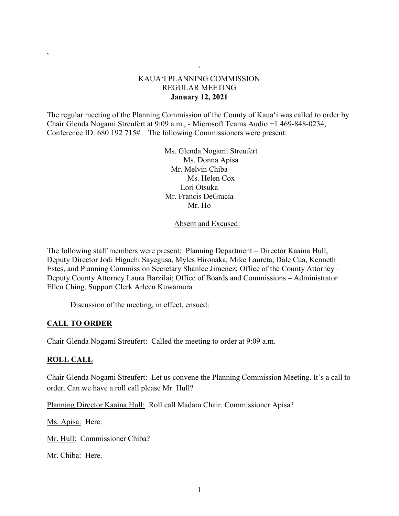## ` KAUA'I PLANNING COMMISSION REGULAR MEETING **January 12, 2021**

The regular meeting of the Planning Commission of the County of Kaua'i was called to order by Chair Glenda Nogami Streufert at 9:09 a.m., - Microsoft Teams Audio +1 469-848-0234, Conference ID: 680 192 715# The following Commissioners were present:

> Ms. Glenda Nogami Streufert Ms. Donna Apisa Mr. Melvin Chiba Ms. Helen Cox Lori Otsuka Mr. Francis DeGracia Mr. Ho

### Absent and Excused:

The following staff members were present: Planning Department – Director Kaaina Hull, Deputy Director Jodi Higuchi Sayegusa, Myles Hironaka, Mike Laureta, Dale Cua, Kenneth Estes, and Planning Commission Secretary Shanlee Jimenez; Office of the County Attorney – Deputy County Attorney Laura Barzilai; Office of Boards and Commissions – Administrator Ellen Ching, Support Clerk Arleen Kuwamura

Discussion of the meeting, in effect, ensued:

# **CALL TO ORDER**

Chair Glenda Nogami Streufert: Called the meeting to order at 9:09 a.m.

# **ROLL CALL**

,

Chair Glenda Nogami Streufert: Let us convene the Planning Commission Meeting. It's a call to order. Can we have a roll call please Mr. Hull?

Planning Director Kaaina Hull: Roll call Madam Chair. Commissioner Apisa?

Ms. Apisa: Here.

Mr. Hull: Commissioner Chiba?

Mr. Chiba: Here.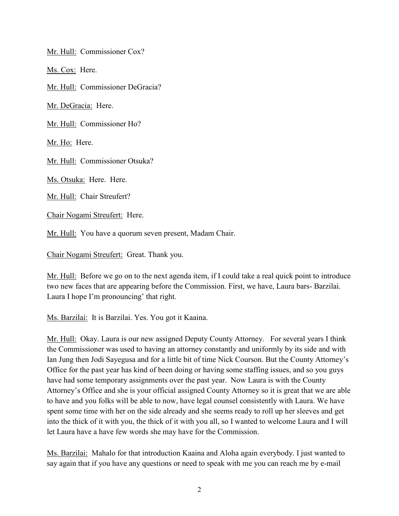Mr. Hull: Commissioner Cox?

Ms. Cox: Here.

Mr. Hull: Commissioner DeGracia?

Mr. DeGracia: Here.

Mr. Hull: Commissioner Ho?

Mr. Ho: Here.

Mr. Hull: Commissioner Otsuka?

Ms. Otsuka: Here. Here.

Mr. Hull: Chair Streufert?

Chair Nogami Streufert: Here.

Mr. Hull: You have a quorum seven present, Madam Chair.

Chair Nogami Streufert: Great. Thank you.

Mr. Hull: Before we go on to the next agenda item, if I could take a real quick point to introduce two new faces that are appearing before the Commission. First, we have, Laura bars- Barzilai. Laura I hope I'm pronouncing' that right.

Ms. Barzilai: It is Barzilai. Yes. You got it Kaaina.

Mr. Hull: Okay. Laura is our new assigned Deputy County Attorney. For several years I think the Commissioner was used to having an attorney constantly and uniformly by its side and with Ian Jung then Jodi Sayegusa and for a little bit of time Nick Courson. But the County Attorney's Office for the past year has kind of been doing or having some staffing issues, and so you guys have had some temporary assignments over the past year. Now Laura is with the County Attorney's Office and she is your official assigned County Attorney so it is great that we are able to have and you folks will be able to now, have legal counsel consistently with Laura. We have spent some time with her on the side already and she seems ready to roll up her sleeves and get into the thick of it with you, the thick of it with you all, so I wanted to welcome Laura and I will let Laura have a have few words she may have for the Commission.

Ms. Barzilai: Mahalo for that introduction Kaaina and Aloha again everybody. I just wanted to say again that if you have any questions or need to speak with me you can reach me by e-mail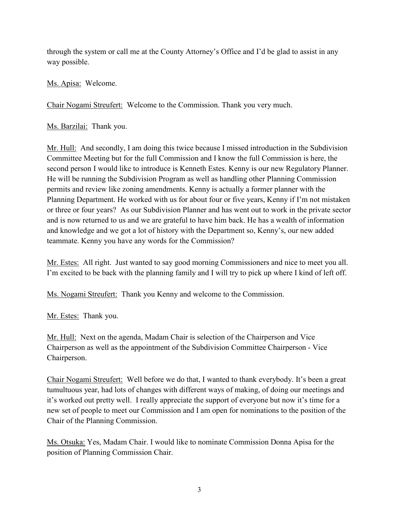through the system or call me at the County Attorney's Office and I'd be glad to assist in any way possible.

Ms. Apisa: Welcome.

Chair Nogami Streufert: Welcome to the Commission. Thank you very much.

Ms. Barzilai: Thank you.

Mr. Hull: And secondly, I am doing this twice because I missed introduction in the Subdivision Committee Meeting but for the full Commission and I know the full Commission is here, the second person I would like to introduce is Kenneth Estes. Kenny is our new Regulatory Planner. He will be running the Subdivision Program as well as handling other Planning Commission permits and review like zoning amendments. Kenny is actually a former planner with the Planning Department. He worked with us for about four or five years, Kenny if I'm not mistaken or three or four years? As our Subdivision Planner and has went out to work in the private sector and is now returned to us and we are grateful to have him back. He has a wealth of information and knowledge and we got a lot of history with the Department so, Kenny's, our new added teammate. Kenny you have any words for the Commission?

Mr. Estes: All right. Just wanted to say good morning Commissioners and nice to meet you all. I'm excited to be back with the planning family and I will try to pick up where I kind of left off.

Ms. Nogami Streufert: Thank you Kenny and welcome to the Commission.

Mr. Estes: Thank you.

Mr. Hull: Next on the agenda, Madam Chair is selection of the Chairperson and Vice Chairperson as well as the appointment of the Subdivision Committee Chairperson - Vice Chairperson.

Chair Nogami Streufert: Well before we do that, I wanted to thank everybody. It's been a great tumultuous year, had lots of changes with different ways of making, of doing our meetings and it's worked out pretty well. I really appreciate the support of everyone but now it's time for a new set of people to meet our Commission and I am open for nominations to the position of the Chair of the Planning Commission.

Ms. Otsuka: Yes, Madam Chair. I would like to nominate Commission Donna Apisa for the position of Planning Commission Chair.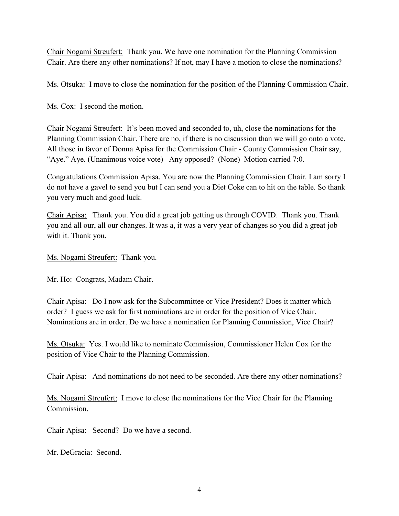Chair Nogami Streufert: Thank you. We have one nomination for the Planning Commission Chair. Are there any other nominations? If not, may I have a motion to close the nominations?

Ms. Otsuka: I move to close the nomination for the position of the Planning Commission Chair.

Ms. Cox: I second the motion.

Chair Nogami Streufert: It's been moved and seconded to, uh, close the nominations for the Planning Commission Chair. There are no, if there is no discussion than we will go onto a vote. All those in favor of Donna Apisa for the Commission Chair - County Commission Chair say, "Aye." Aye. (Unanimous voice vote) Any opposed? (None) Motion carried 7:0.

Congratulations Commission Apisa. You are now the Planning Commission Chair. I am sorry I do not have a gavel to send you but I can send you a Diet Coke can to hit on the table. So thank you very much and good luck.

Chair Apisa: Thank you. You did a great job getting us through COVID. Thank you. Thank you and all our, all our changes. It was a, it was a very year of changes so you did a great job with it. Thank you.

Ms. Nogami Streufert: Thank you.

Mr. Ho: Congrats, Madam Chair.

Chair Apisa: Do I now ask for the Subcommittee or Vice President? Does it matter which order? I guess we ask for first nominations are in order for the position of Vice Chair. Nominations are in order. Do we have a nomination for Planning Commission, Vice Chair?

Ms. Otsuka: Yes. I would like to nominate Commission, Commissioner Helen Cox for the position of Vice Chair to the Planning Commission.

Chair Apisa: And nominations do not need to be seconded. Are there any other nominations?

Ms. Nogami Streufert: I move to close the nominations for the Vice Chair for the Planning Commission.

Chair Apisa: Second? Do we have a second.

Mr. DeGracia: Second.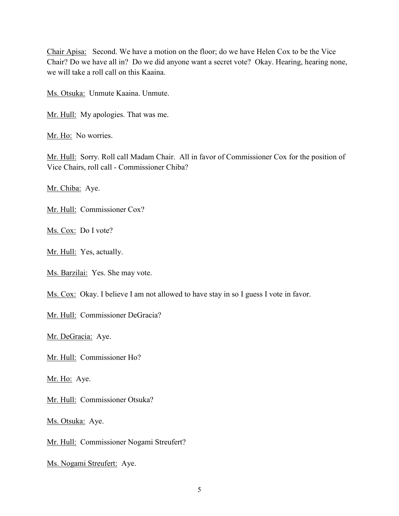Chair Apisa: Second. We have a motion on the floor; do we have Helen Cox to be the Vice Chair? Do we have all in? Do we did anyone want a secret vote? Okay. Hearing, hearing none, we will take a roll call on this Kaaina.

Ms. Otsuka: Unmute Kaaina. Unmute.

Mr. Hull: My apologies. That was me.

Mr. Ho: No worries.

Mr. Hull: Sorry. Roll call Madam Chair. All in favor of Commissioner Cox for the position of Vice Chairs, roll call - Commissioner Chiba?

Mr. Chiba: Aye.

Mr. Hull: Commissioner Cox?

Ms. Cox: Do I vote?

Mr. Hull: Yes, actually.

Ms. Barzilai: Yes. She may vote.

Ms. Cox: Okay. I believe I am not allowed to have stay in so I guess I vote in favor.

Mr. Hull: Commissioner DeGracia?

Mr. DeGracia: Aye.

Mr. Hull: Commissioner Ho?

Mr. Ho: Aye.

Mr. Hull: Commissioner Otsuka?

Ms. Otsuka: Aye.

Mr. Hull: Commissioner Nogami Streufert?

Ms. Nogami Streufert: Aye.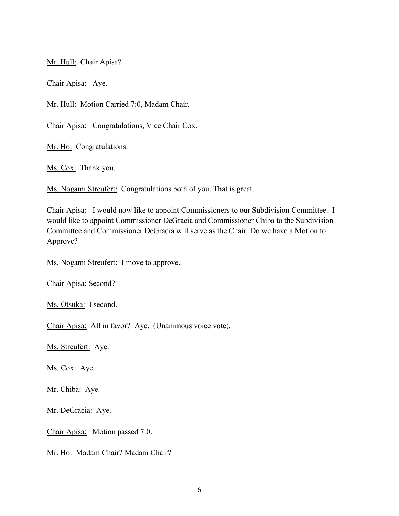Mr. Hull: Chair Apisa?

Chair Apisa: Aye.

Mr. Hull: Motion Carried 7:0, Madam Chair.

Chair Apisa: Congratulations, Vice Chair Cox.

Mr. Ho: Congratulations.

Ms. Cox: Thank you.

Ms. Nogami Streufert: Congratulations both of you. That is great.

Chair Apisa: I would now like to appoint Commissioners to our Subdivision Committee. I would like to appoint Commissioner DeGracia and Commissioner Chiba to the Subdivision Committee and Commissioner DeGracia will serve as the Chair. Do we have a Motion to Approve?

Ms. Nogami Streufert: I move to approve.

Chair Apisa: Second?

Ms. Otsuka: I second.

Chair Apisa: All in favor? Aye. (Unanimous voice vote).

Ms. Streufert: Aye.

Ms. Cox: Aye.

Mr. Chiba: Aye.

Mr. DeGracia: Aye.

Chair Apisa: Motion passed 7:0.

Mr. Ho: Madam Chair? Madam Chair?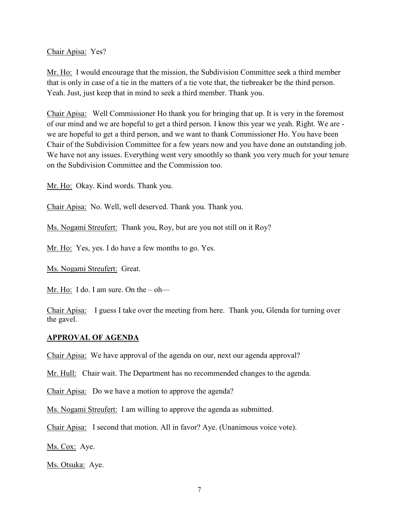Chair Apisa: Yes?

Mr. Ho: I would encourage that the mission, the Subdivision Committee seek a third member that is only in case of a tie in the matters of a tie vote that, the tiebreaker be the third person. Yeah. Just, just keep that in mind to seek a third member. Thank you.

Chair Apisa: Well Commissioner Ho thank you for bringing that up. It is very in the foremost of our mind and we are hopeful to get a third person. I know this year we yeah. Right. We are we are hopeful to get a third person, and we want to thank Commissioner Ho. You have been Chair of the Subdivision Committee for a few years now and you have done an outstanding job. We have not any issues. Everything went very smoothly so thank you very much for your tenure on the Subdivision Committee and the Commission too.

Mr. Ho: Okay. Kind words. Thank you.

Chair Apisa: No. Well, well deserved. Thank you. Thank you.

Ms. Nogami Streufert: Thank you, Roy, but are you not still on it Roy?

Mr. Ho: Yes, yes. I do have a few months to go. Yes.

Ms. Nogami Streufert: Great.

Mr. Ho: I do. I am sure. On the  $-$  oh—

Chair Apisa: I guess I take over the meeting from here. Thank you, Glenda for turning over the gavel.

#### **APPROVAL OF AGENDA**

Chair Apisa: We have approval of the agenda on our, next our agenda approval?

Mr. Hull: Chair wait. The Department has no recommended changes to the agenda.

Chair Apisa: Do we have a motion to approve the agenda?

Ms. Nogami Streufert: I am willing to approve the agenda as submitted.

Chair Apisa: I second that motion. All in favor? Aye. (Unanimous voice vote).

Ms. Cox: Aye.

Ms. Otsuka: Aye.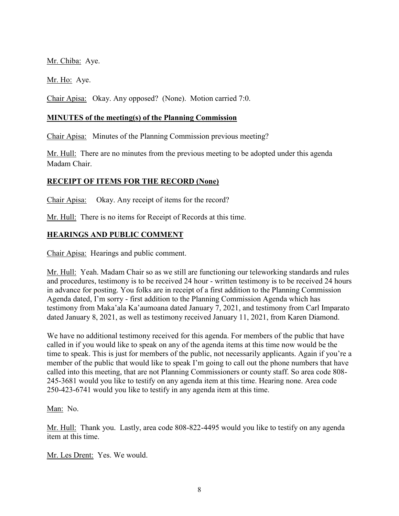Mr. Chiba: Aye.

Mr. Ho: Aye.

Chair Apisa: Okay. Any opposed? (None). Motion carried 7:0.

### **MINUTES of the meeting(s) of the Planning Commission**

Chair Apisa: Minutes of the Planning Commission previous meeting?

Mr. Hull: There are no minutes from the previous meeting to be adopted under this agenda Madam Chair.

# **RECEIPT OF ITEMS FOR THE RECORD (None)**

Chair Apisa: Okay. Any receipt of items for the record?

Mr. Hull: There is no items for Receipt of Records at this time.

# **HEARINGS AND PUBLIC COMMENT**

Chair Apisa: Hearings and public comment.

Mr. Hull: Yeah. Madam Chair so as we still are functioning our teleworking standards and rules and procedures, testimony is to be received 24 hour - written testimony is to be received 24 hours in advance for posting. You folks are in receipt of a first addition to the Planning Commission Agenda dated, I'm sorry - first addition to the Planning Commission Agenda which has testimony from Maka'ala Ka'aumoana dated January 7, 2021, and testimony from Carl Imparato dated January 8, 2021, as well as testimony received January 11, 2021, from Karen Diamond.

We have no additional testimony received for this agenda. For members of the public that have called in if you would like to speak on any of the agenda items at this time now would be the time to speak. This is just for members of the public, not necessarily applicants. Again if you're a member of the public that would like to speak I'm going to call out the phone numbers that have called into this meeting, that are not Planning Commissioners or county staff. So area code 808- 245-3681 would you like to testify on any agenda item at this time. Hearing none. Area code 250-423-6741 would you like to testify in any agenda item at this time.

Man: No.

Mr. Hull: Thank you. Lastly, area code 808-822-4495 would you like to testify on any agenda item at this time.

Mr. Les Drent: Yes. We would.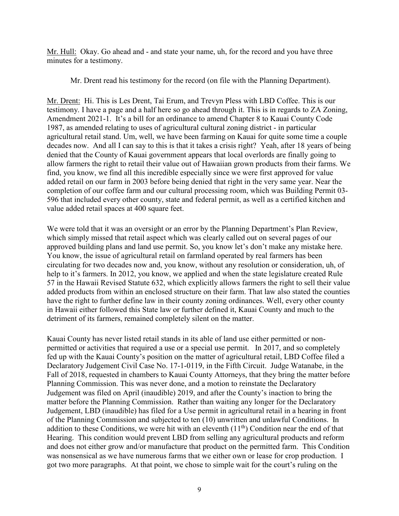Mr. Hull: Okay. Go ahead and - and state your name, uh, for the record and you have three minutes for a testimony.

Mr. Drent read his testimony for the record (on file with the Planning Department).

Mr. Drent: Hi. This is Les Drent, Tai Erum, and Trevyn Pless with LBD Coffee. This is our testimony. I have a page and a half here so go ahead through it. This is in regards to ZA Zoning, Amendment 2021-1. It's a bill for an ordinance to amend Chapter 8 to Kauai County Code 1987, as amended relating to uses of agricultural cultural zoning district - in particular agricultural retail stand. Um, well, we have been farming on Kauai for quite some time a couple decades now. And all I can say to this is that it takes a crisis right? Yeah, after 18 years of being denied that the County of Kauai government appears that local overlords are finally going to allow farmers the right to retail their value out of Hawaiian grown products from their farms. We find, you know, we find all this incredible especially since we were first approved for value added retail on our farm in 2003 before being denied that right in the very same year. Near the completion of our coffee farm and our cultural processing room, which was Building Permit 03- 596 that included every other county, state and federal permit, as well as a certified kitchen and value added retail spaces at 400 square feet.

We were told that it was an oversight or an error by the Planning Department's Plan Review, which simply missed that retail aspect which was clearly called out on several pages of our approved building plans and land use permit. So, you know let's don't make any mistake here. You know, the issue of agricultural retail on farmland operated by real farmers has been circulating for two decades now and, you know, without any resolution or consideration, uh, of help to it's farmers. In 2012, you know, we applied and when the state legislature created Rule 57 in the Hawaii Revised Statute 632, which explicitly allows farmers the right to sell their value added products from within an enclosed structure on their farm. That law also stated the counties have the right to further define law in their county zoning ordinances. Well, every other county in Hawaii either followed this State law or further defined it, Kauai County and much to the detriment of its farmers, remained completely silent on the matter.

Kauai County has never listed retail stands in its able of land use either permitted or nonpermitted or activities that required a use or a special use permit. In 2017, and so completely fed up with the Kauai County's position on the matter of agricultural retail, LBD Coffee filed a Declaratory Judgement Civil Case No. 17-1-0119, in the Fifth Circuit. Judge Watanabe, in the Fall of 2018, requested in chambers to Kauai County Attorneys, that they bring the matter before Planning Commission. This was never done, and a motion to reinstate the Declaratory Judgement was filed on April (inaudible) 2019, and after the County's inaction to bring the matter before the Planning Commission. Rather than waiting any longer for the Declaratory Judgement, LBD (inaudible) has filed for a Use permit in agricultural retail in a hearing in front of the Planning Commission and subjected to ten (10) unwritten and unlawful Conditions. In addition to these Conditions, we were hit with an eleventh  $(11<sup>th</sup>)$  Condition near the end of that Hearing. This condition would prevent LBD from selling any agricultural products and reform and does not either grow and/or manufacture that product on the permitted farm. This Condition was nonsensical as we have numerous farms that we either own or lease for crop production. I got two more paragraphs. At that point, we chose to simple wait for the court's ruling on the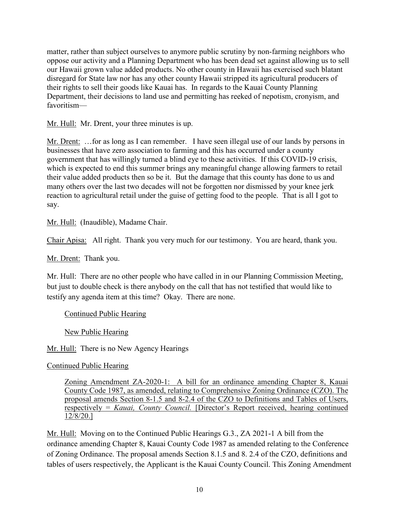matter, rather than subject ourselves to anymore public scrutiny by non-farming neighbors who oppose our activity and a Planning Department who has been dead set against allowing us to sell our Hawaii grown value added products. No other county in Hawaii has exercised such blatant disregard for State law nor has any other county Hawaii stripped its agricultural producers of their rights to sell their goods like Kauai has. In regards to the Kauai County Planning Department, their decisions to land use and permitting has reeked of nepotism, cronyism, and favoritism—

Mr. Hull: Mr. Drent, your three minutes is up.

Mr. Drent: …for as long as I can remember. I have seen illegal use of our lands by persons in businesses that have zero association to farming and this has occurred under a county government that has willingly turned a blind eye to these activities. If this COVID-19 crisis, which is expected to end this summer brings any meaningful change allowing farmers to retail their value added products then so be it. But the damage that this county has done to us and many others over the last two decades will not be forgotten nor dismissed by your knee jerk reaction to agricultural retail under the guise of getting food to the people. That is all I got to say.

Mr. Hull: (Inaudible), Madame Chair.

Chair Apisa: All right. Thank you very much for our testimony. You are heard, thank you.

Mr. Drent: Thank you.

Mr. Hull: There are no other people who have called in in our Planning Commission Meeting, but just to double check is there anybody on the call that has not testified that would like to testify any agenda item at this time? Okay. There are none.

### Continued Public Hearing

New Public Hearing

Mr. Hull: There is no New Agency Hearings

Continued Public Hearing

Zoning Amendment ZA-2020-1: A bill for an ordinance amending Chapter 8, Kauai County Code 1987, as amended, relating to Comprehensive Zoning Ordinance (CZO). The proposal amends Section 8-1.5 and 8-2.4 of the CZO to Definitions and Tables of Users, respectively = *Kauai, County Council.* [Director's Report received, hearing continued 12/8/20.]

Mr. Hull: Moving on to the Continued Public Hearings G.3., ZA 2021-1 A bill from the ordinance amending Chapter 8, Kauai County Code 1987 as amended relating to the Conference of Zoning Ordinance. The proposal amends Section 8.1.5 and 8. 2.4 of the CZO, definitions and tables of users respectively, the Applicant is the Kauai County Council. This Zoning Amendment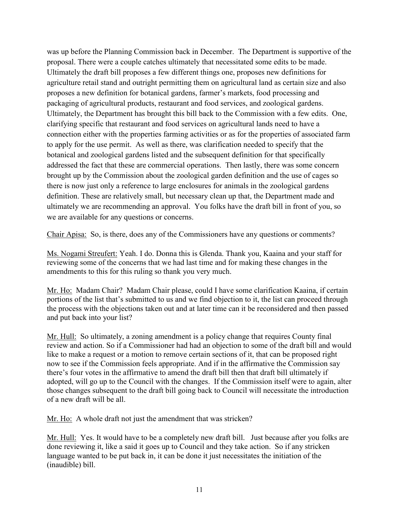was up before the Planning Commission back in December. The Department is supportive of the proposal. There were a couple catches ultimately that necessitated some edits to be made. Ultimately the draft bill proposes a few different things one, proposes new definitions for agriculture retail stand and outright permitting them on agricultural land as certain size and also proposes a new definition for botanical gardens, farmer's markets, food processing and packaging of agricultural products, restaurant and food services, and zoological gardens. Ultimately, the Department has brought this bill back to the Commission with a few edits. One, clarifying specific that restaurant and food services on agricultural lands need to have a connection either with the properties farming activities or as for the properties of associated farm to apply for the use permit. As well as there, was clarification needed to specify that the botanical and zoological gardens listed and the subsequent definition for that specifically addressed the fact that these are commercial operations. Then lastly, there was some concern brought up by the Commission about the zoological garden definition and the use of cages so there is now just only a reference to large enclosures for animals in the zoological gardens definition. These are relatively small, but necessary clean up that, the Department made and ultimately we are recommending an approval. You folks have the draft bill in front of you, so we are available for any questions or concerns.

Chair Apisa: So, is there, does any of the Commissioners have any questions or comments?

Ms. Nogami Streufert: Yeah. I do. Donna this is Glenda. Thank you, Kaaina and your staff for reviewing some of the concerns that we had last time and for making these changes in the amendments to this for this ruling so thank you very much.

Mr. Ho: Madam Chair? Madam Chair please, could I have some clarification Kaaina, if certain portions of the list that's submitted to us and we find objection to it, the list can proceed through the process with the objections taken out and at later time can it be reconsidered and then passed and put back into your list?

Mr. Hull: So ultimately, a zoning amendment is a policy change that requires County final review and action. So if a Commissioner had had an objection to some of the draft bill and would like to make a request or a motion to remove certain sections of it, that can be proposed right now to see if the Commission feels appropriate. And if in the affirmative the Commission say there's four votes in the affirmative to amend the draft bill then that draft bill ultimately if adopted, will go up to the Council with the changes. If the Commission itself were to again, alter those changes subsequent to the draft bill going back to Council will necessitate the introduction of a new draft will be all.

Mr. Ho: A whole draft not just the amendment that was stricken?

Mr. Hull: Yes. It would have to be a completely new draft bill. Just because after you folks are done reviewing it, like a said it goes up to Council and they take action. So if any stricken language wanted to be put back in, it can be done it just necessitates the initiation of the (inaudible) bill.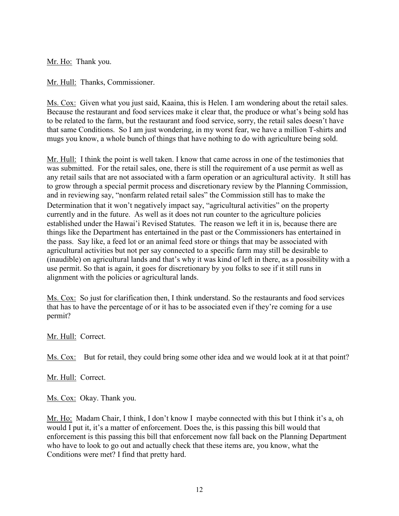Mr. Ho: Thank you.

Mr. Hull: Thanks, Commissioner.

Ms. Cox: Given what you just said, Kaaina, this is Helen. I am wondering about the retail sales. Because the restaurant and food services make it clear that, the produce or what's being sold has to be related to the farm, but the restaurant and food service, sorry, the retail sales doesn't have that same Conditions. So I am just wondering, in my worst fear, we have a million T-shirts and mugs you know, a whole bunch of things that have nothing to do with agriculture being sold.

Mr. Hull: I think the point is well taken. I know that came across in one of the testimonies that was submitted. For the retail sales, one, there is still the requirement of a use permit as well as any retail sails that are not associated with a farm operation or an agricultural activity. It still has to grow through a special permit process and discretionary review by the Planning Commission, and in reviewing say, "nonfarm related retail sales" the Commission still has to make the Determination that it won't negatively impact say, "agricultural activities" on the property currently and in the future. As well as it does not run counter to the agriculture policies established under the Hawai'i Revised Statutes. The reason we left it in is, because there are things like the Department has entertained in the past or the Commissioners has entertained in the pass. Say like, a feed lot or an animal feed store or things that may be associated with agricultural activities but not per say connected to a specific farm may still be desirable to (inaudible) on agricultural lands and that's why it was kind of left in there, as a possibility with a use permit. So that is again, it goes for discretionary by you folks to see if it still runs in alignment with the policies or agricultural lands.

Ms. Cox: So just for clarification then, I think understand. So the restaurants and food services that has to have the percentage of or it has to be associated even if they're coming for a use permit?

Mr. Hull: Correct.

Ms. Cox: But for retail, they could bring some other idea and we would look at it at that point?

Mr. Hull: Correct.

Ms. Cox: Okay. Thank you.

Mr. Ho: Madam Chair, I think, I don't know I maybe connected with this but I think it's a, oh would I put it, it's a matter of enforcement. Does the, is this passing this bill would that enforcement is this passing this bill that enforcement now fall back on the Planning Department who have to look to go out and actually check that these items are, you know, what the Conditions were met? I find that pretty hard.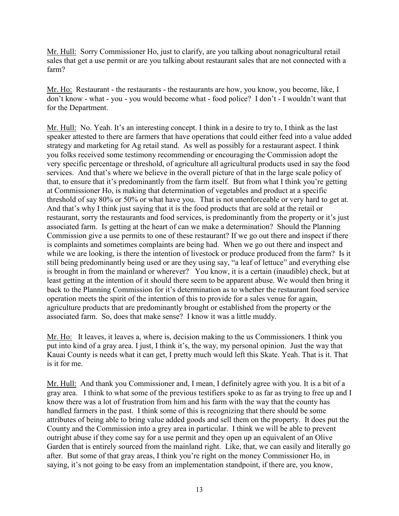Mr. Hull: Sorry Commissioner Ho, just to clarify, are you talking about nonagricultural retail sales that get a use permit or are you talking about restaurant sales that are not connected with a farm?

Mr. Ho: Restaurant - the restaurants - the restaurants are how, you know, you become, like, I don't know - what - you - you would become what - food police? I don't - I wouldn't want that for the Department.

Mr. Hull: No. Yeah. It's an interesting concept. I think in a desire to try to, I think as the last speaker attested to there are farmers that have operations that could either feed into a value added strategy and marketing for Ag retail stand. As well as possibly for a restaurant aspect. I think you folks received some testimony recommending or encouraging the Commission adopt the very specific percentage or threshold, of agriculture all agricultural products used in say the food services. And that's where we believe in the overall picture of that in the large scale policy of that, to ensure that it's predominantly from the farm itself. But from what I think you're getting at Commissioner Ho, is making that determination of vegetables and product at a specific threshold of say 80% or 50% or what have you. That is not unenforceable or very hard to get at. And that's why I think just saying that it is the food products that are sold at the retail or restaurant, sorry the restaurants and food services, is predominantly from the property or it's just associated farm. Is getting at the heart of can we make a determination? Should the Planning Commission give a use permits to one of these restaurant? If we go out there and inspect if there is complaints and sometimes complaints are being had. When we go out there and inspect and while we are looking, is there the intention of livestock or produce produced from the farm? Is it still being predominantly being used or are they using say, "a leaf of lettuce" and everything else is brought in from the mainland or wherever? You know, it is a certain (inaudible) check, but at least getting at the intention of it should there seem to be apparent abuse. We would then bring it back to the Planning Commission for it's determination as to whether the restaurant food service operation meets the spirit of the intention of this to provide for a sales venue for again, agriculture products that are predominantly brought or established from the property or the associated farm. So, does that make sense? I know it was a little muddy.

Mr. Ho: It leaves, it leaves a, where is, decision making to the us Commissioners. I think you put into kind of a gray area. I just, I think it's, the way, my personal opinion. Just the way that Kauai County is needs what it can get, I pretty much would left this Skate. Yeah. That is it. That is it for me.

Mr. Hull: And thank you Commissioner and, I mean, I definitely agree with you. It is a bit of a gray area. I think to what some of the previous testifiers spoke to as far as trying to free up and I know there was a lot of frustration from him and his farm with the way that the county has handled farmers in the past. I think some of this is recognizing that there should be some attributes of being able to bring value added goods and sell them on the property. It does put the County and the Commission into a grey area in particular. I think we will be able to prevent outright abuse if they come say for a use permit and they open up an equivalent of an Olive Garden that is entirely sourced from the mainland right. Like, that, we can easily and literally go after. But some of that gray areas, I think you're right on the money Commissioner Ho, in saying, it's not going to be easy from an implementation standpoint, if there are, you know,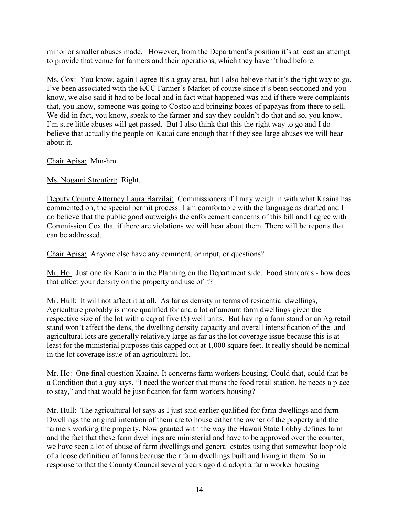minor or smaller abuses made. However, from the Department's position it's at least an attempt to provide that venue for farmers and their operations, which they haven't had before.

Ms. Cox: You know, again I agree It's a gray area, but I also believe that it's the right way to go. I've been associated with the KCC Farmer's Market of course since it's been sectioned and you know, we also said it had to be local and in fact what happened was and if there were complaints that, you know, someone was going to Costco and bringing boxes of papayas from there to sell. We did in fact, you know, speak to the farmer and say they couldn't do that and so, you know, I'm sure little abuses will get passed. But I also think that this the right way to go and I do believe that actually the people on Kauai care enough that if they see large abuses we will hear about it.

Chair Apisa: Mm-hm.

Ms. Nogami Streufert: Right.

Deputy County Attorney Laura Barzilai: Commissioners if I may weigh in with what Kaaina has commented on, the special permit process. I am comfortable with the language as drafted and I do believe that the public good outweighs the enforcement concerns of this bill and I agree with Commission Cox that if there are violations we will hear about them. There will be reports that can be addressed.

Chair Apisa: Anyone else have any comment, or input, or questions?

Mr. Ho: Just one for Kaaina in the Planning on the Department side. Food standards - how does that affect your density on the property and use of it?

Mr. Hull: It will not affect it at all. As far as density in terms of residential dwellings, Agriculture probably is more qualified for and a lot of amount farm dwellings given the respective size of the lot with a cap at five (5) well units. But having a farm stand or an Ag retail stand won't affect the dens, the dwelling density capacity and overall intensification of the land agricultural lots are generally relatively large as far as the lot coverage issue because this is at least for the ministerial purposes this capped out at 1,000 square feet. It really should be nominal in the lot coverage issue of an agricultural lot.

Mr. Ho: One final question Kaaina. It concerns farm workers housing. Could that, could that be a Condition that a guy says, "I need the worker that mans the food retail station, he needs a place to stay," and that would be justification for farm workers housing?

Mr. Hull: The agricultural lot says as I just said earlier qualified for farm dwellings and farm Dwellings the original intention of them are to house either the owner of the property and the farmers working the property. Now granted with the way the Hawaii State Lobby defines farm and the fact that these farm dwellings are ministerial and have to be approved over the counter, we have seen a lot of abuse of farm dwellings and general estates using that somewhat loophole of a loose definition of farms because their farm dwellings built and living in them. So in response to that the County Council several years ago did adopt a farm worker housing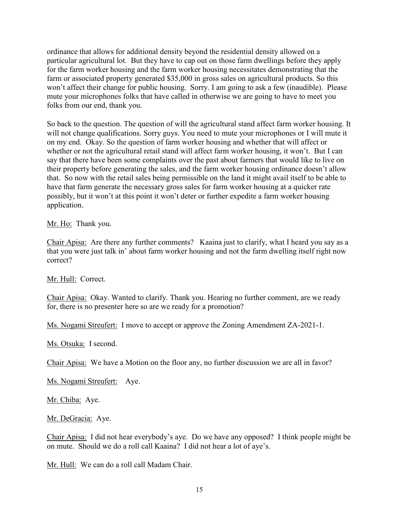ordinance that allows for additional density beyond the residential density allowed on a particular agricultural lot. But they have to cap out on those farm dwellings before they apply for the farm worker housing and the farm worker housing necessitates demonstrating that the farm or associated property generated \$35,000 in gross sales on agricultural products. So this won't affect their change for public housing. Sorry. I am going to ask a few (inaudible). Please mute your microphones folks that have called in otherwise we are going to have to meet you folks from our end, thank you.

So back to the question. The question of will the agricultural stand affect farm worker housing. It will not change qualifications. Sorry guys. You need to mute your microphones or I will mute it on my end. Okay. So the question of farm worker housing and whether that will affect or whether or not the agricultural retail stand will affect farm worker housing, it won't. But I can say that there have been some complaints over the past about farmers that would like to live on their property before generating the sales, and the farm worker housing ordinance doesn't allow that. So now with the retail sales being permissible on the land it might avail itself to be able to have that farm generate the necessary gross sales for farm worker housing at a quicker rate possibly, but it won't at this point it won't deter or further expedite a farm worker housing application.

Mr. Ho: Thank you.

Chair Apisa: Are there any further comments? Kaaina just to clarify, what I heard you say as a that you were just talk in' about farm worker housing and not the farm dwelling itself right now correct?

Mr. Hull: Correct.

Chair Apisa: Okay. Wanted to clarify. Thank you. Hearing no further comment, are we ready for, there is no presenter here so are we ready for a promotion?

Ms. Nogami Streufert: I move to accept or approve the Zoning Amendment ZA-2021-1.

Ms. Otsuka: I second.

Chair Apisa: We have a Motion on the floor any, no further discussion we are all in favor?

Ms. Nogami Streufert: Aye.

Mr. Chiba: Aye.

Mr. DeGracia: Aye.

Chair Apisa: I did not hear everybody's aye. Do we have any opposed? I think people might be on mute. Should we do a roll call Kaaina? I did not hear a lot of aye's.

Mr. Hull: We can do a roll call Madam Chair.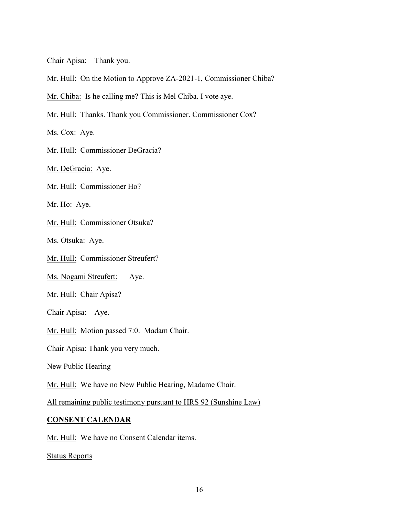Chair Apisa: Thank you.

Mr. Hull: On the Motion to Approve ZA-2021-1, Commissioner Chiba?

Mr. Chiba: Is he calling me? This is Mel Chiba. I vote aye.

Mr. Hull: Thanks. Thank you Commissioner. Commissioner Cox?

Ms. Cox: Aye.

Mr. Hull: Commissioner DeGracia?

Mr. DeGracia: Aye.

Mr. Hull: Commissioner Ho?

Mr. Ho: Aye.

Mr. Hull: Commissioner Otsuka?

Ms. Otsuka: Aye.

Mr. Hull: Commissioner Streufert?

Ms. Nogami Streufert: Aye.

Mr. Hull: Chair Apisa?

Chair Apisa: Aye.

Mr. Hull: Motion passed 7:0. Madam Chair.

Chair Apisa: Thank you very much.

New Public Hearing

Mr. Hull: We have no New Public Hearing, Madame Chair.

All remaining public testimony pursuant to HRS 92 (Sunshine Law)

### **CONSENT CALENDAR**

Mr. Hull: We have no Consent Calendar items.

Status Reports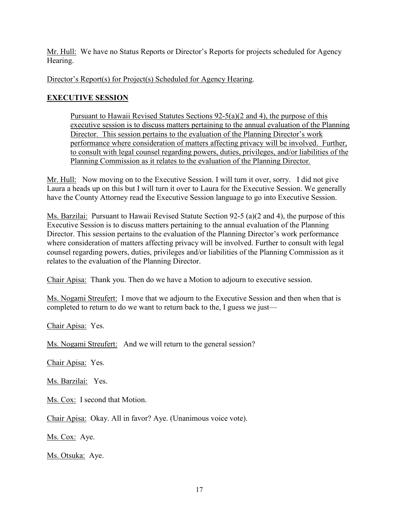Mr. Hull: We have no Status Reports or Director's Reports for projects scheduled for Agency Hearing.

Director's Report(s) for Project(s) Scheduled for Agency Hearing.

# **EXECUTIVE SESSION**

Pursuant to Hawaii Revised Statutes Sections 92-5(a)(2 and 4), the purpose of this executive session is to discuss matters pertaining to the annual evaluation of the Planning Director. This session pertains to the evaluation of the Planning Director's work performance where consideration of matters affecting privacy will be involved. Further, to consult with legal counsel regarding powers, duties, privileges, and/or liabilities of the Planning Commission as it relates to the evaluation of the Planning Director*.*

Mr. Hull: Now moving on to the Executive Session. I will turn it over, sorry. I did not give Laura a heads up on this but I will turn it over to Laura for the Executive Session. We generally have the County Attorney read the Executive Session language to go into Executive Session.

Ms. Barzilai: Pursuant to Hawaii Revised Statute Section 92-5 (a)(2 and 4), the purpose of this Executive Session is to discuss matters pertaining to the annual evaluation of the Planning Director. This session pertains to the evaluation of the Planning Director's work performance where consideration of matters affecting privacy will be involved. Further to consult with legal counsel regarding powers, duties, privileges and/or liabilities of the Planning Commission as it relates to the evaluation of the Planning Director.

Chair Apisa: Thank you. Then do we have a Motion to adjourn to executive session.

Ms. Nogami Streufert: I move that we adjourn to the Executive Session and then when that is completed to return to do we want to return back to the, I guess we just—

Chair Apisa: Yes.

Ms. Nogami Streufert: And we will return to the general session?

Chair Apisa: Yes.

Ms. Barzilai: Yes.

Ms. Cox: I second that Motion.

Chair Apisa: Okay. All in favor? Aye. (Unanimous voice vote).

Ms. Cox: Aye.

Ms. Otsuka: Aye.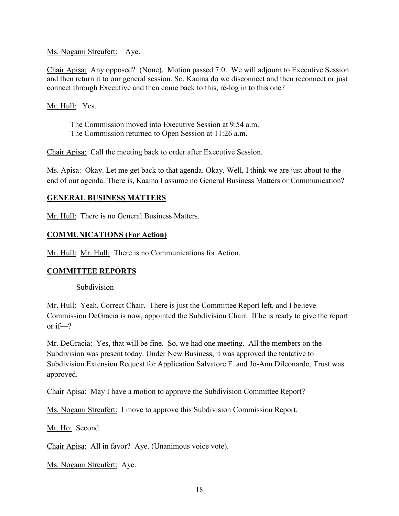Ms. Nogami Streufert: Aye.

Chair Apisa: Any opposed? (None). Motion passed 7:0. We will adjourn to Executive Session and then return it to our general session. So, Kaaina do we disconnect and then reconnect or just connect through Executive and then come back to this, re-log in to this one?

Mr. Hull: Yes.

The Commission moved into Executive Session at 9:54 a.m. The Commission returned to Open Session at 11:26 a.m.

Chair Apisa: Call the meeting back to order after Executive Session.

Ms. Apisa: Okay. Let me get back to that agenda. Okay. Well, I think we are just about to the end of our agenda. There is, Kaaina I assume no General Business Matters or Communication?

## **GENERAL BUSINESS MATTERS**

Mr. Hull: There is no General Business Matters.

# **COMMUNICATIONS (For Action)**

Mr. Hull: Mr. Hull: There is no Communications for Action.

### **COMMITTEE REPORTS**

Subdivision

Mr. Hull: Yeah. Correct Chair. There is just the Committee Report left, and I believe Commission DeGracia is now, appointed the Subdivision Chair. If he is ready to give the report or if—?

Mr. DeGracia: Yes, that will be fine. So, we had one meeting. All the members on the Subdivision was present today. Under New Business, it was approved the tentative to Subdivision Extension Request for Application Salvatore F. and Jo-Ann Dileonardo, Trust was approved.

Chair Apisa: May I have a motion to approve the Subdivision Committee Report?

Ms. Nogami Streufert: I move to approve this Subdivision Commission Report.

Mr. Ho: Second.

Chair Apisa: All in favor? Aye. (Unanimous voice vote).

Ms. Nogami Streufert: Aye.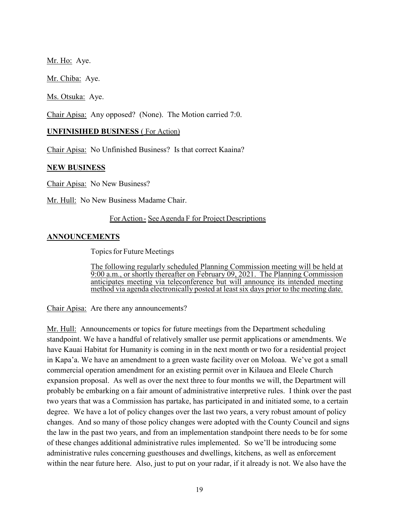Mr. Ho: Aye.

Mr. Chiba: Aye.

Ms. Otsuka: Aye.

Chair Apisa: Any opposed? (None). The Motion carried 7:0.

### **UNFINISIHED BUSINESS** ( For Action)

Chair Apisa: No Unfinished Business? Is that correct Kaaina?

### **NEW BUSINESS**

Chair Apisa: No New Business?

Mr. Hull: No New Business Madame Chair.

### For Action - See Agenda F for Project Descriptions

## **ANNOUNCEMENTS**

Topics for Future Meetings

The following regularly scheduled Planning Commission meeting will be held at 9:00 a.m., or shortly thereafter on February 09, 2021. The Planning Commission anticipates meeting via teleconference but will announce its intended meeting method via agenda electronically posted at least six days prior to the meeting date.

Chair Apisa: Are there any announcements?

Mr. Hull: Announcements or topics for future meetings from the Department scheduling standpoint. We have a handful of relatively smaller use permit applications or amendments. We have Kauai Habitat for Humanity is coming in in the next month or two for a residential project in Kapa'a. We have an amendment to a green waste facility over on Moloaa. We've got a small commercial operation amendment for an existing permit over in Kilauea and Eleele Church expansion proposal. As well as over the next three to four months we will, the Department will probably be embarking on a fair amount of administrative interpretive rules. I think over the past two years that was a Commission has partake, has participated in and initiated some, to a certain degree. We have a lot of policy changes over the last two years, a very robust amount of policy changes. And so many of those policy changes were adopted with the County Council and signs the law in the past two years, and from an implementation standpoint there needs to be for some of these changes additional administrative rules implemented. So we'll be introducing some administrative rules concerning guesthouses and dwellings, kitchens, as well as enforcement within the near future here. Also, just to put on your radar, if it already is not. We also have the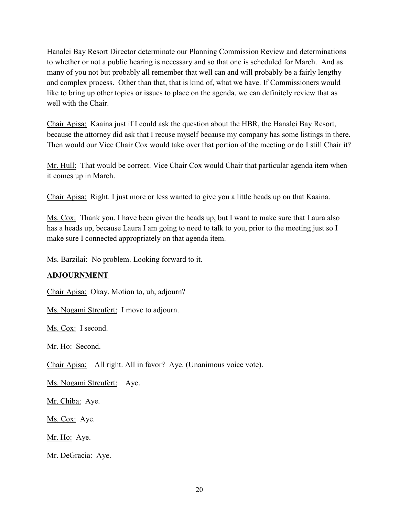Hanalei Bay Resort Director determinate our Planning Commission Review and determinations to whether or not a public hearing is necessary and so that one is scheduled for March. And as many of you not but probably all remember that well can and will probably be a fairly lengthy and complex process. Other than that, that is kind of, what we have. If Commissioners would like to bring up other topics or issues to place on the agenda, we can definitely review that as well with the Chair.

Chair Apisa: Kaaina just if I could ask the question about the HBR, the Hanalei Bay Resort, because the attorney did ask that I recuse myself because my company has some listings in there. Then would our Vice Chair Cox would take over that portion of the meeting or do I still Chair it?

Mr. Hull: That would be correct. Vice Chair Cox would Chair that particular agenda item when it comes up in March.

Chair Apisa: Right. I just more or less wanted to give you a little heads up on that Kaaina.

Ms. Cox: Thank you. I have been given the heads up, but I want to make sure that Laura also has a heads up, because Laura I am going to need to talk to you, prior to the meeting just so I make sure I connected appropriately on that agenda item.

Ms. Barzilai: No problem. Looking forward to it.

# **ADJOURNMENT**

Chair Apisa: Okay. Motion to, uh, adjourn?

Ms. Nogami Streufert: I move to adjourn.

Ms. Cox: I second.

Mr. Ho: Second.

Chair Apisa: All right. All in favor? Aye. (Unanimous voice vote).

Ms. Nogami Streufert: Aye.

Mr. Chiba: Aye.

Ms. Cox: Aye.

Mr. Ho: Aye.

Mr. DeGracia: Aye.